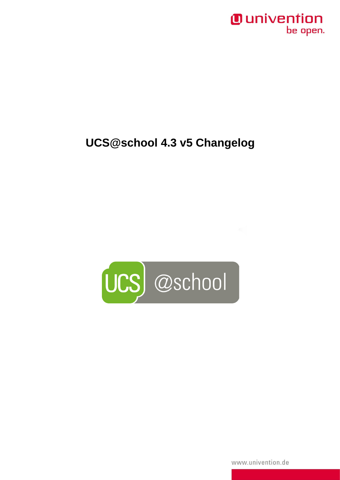#### *Ounivention* be open.

# **UCS@school 4.3 v5 Changelog**



www.univention.de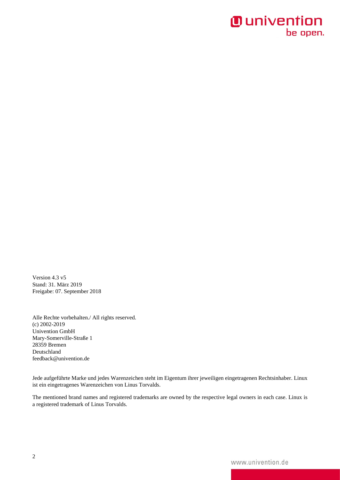#### **O** univention be open.

Version 4.3 v5 Stand: 31. März 2019 Freigabe: 07. September 2018

Alle Rechte vorbehalten./ All rights reserved. (c) 2002-2019 Univention GmbH Mary-Somerville-Straße 1 28359 Bremen Deutschland feedback@univention.de

Jede aufgeführte Marke und jedes Warenzeichen steht im Eigentum ihrer jeweiligen eingetragenen Rechtsinhaber. Linux ist ein eingetragenes Warenzeichen von Linus Torvalds.

The mentioned brand names and registered trademarks are owned by the respective legal owners in each case. Linux is a registered trademark of Linus Torvalds.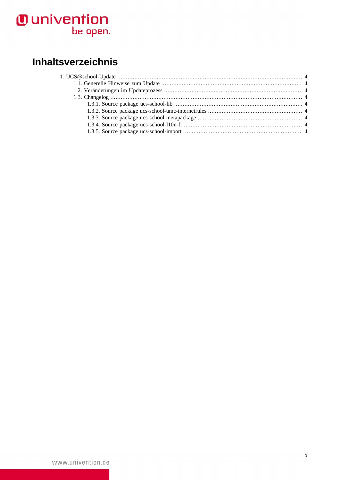# **O** univention<br>be open.

# Inhaltsverzeichnis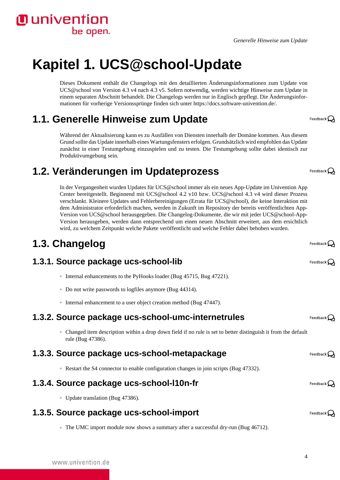#### *Generelle Hinweise zum Update*

# <span id="page-3-0"></span>**Kapitel 1. UCS@school-Update**

Dieses Dokument enthält die Changelogs mit den detaillierten Änderungsinformationen zum Update von UCS@school von Version 4.3 v4 nach 4.3 v5. Sofern notwendig, werden wichtige Hinweise zum Update in einem separaten Abschnitt behandelt. Die Changelogs werden nur in Englisch gepflegt. Die Änderungsinformationen für vorherige Versionssprünge finden sich unter [https://docs.software-univention.de/.](https://docs.software-univention.de/)

### <span id="page-3-1"></span>**1.1. Generelle Hinweise zum Update**

Während der Aktualisierung kann es zu Ausfällen von Diensten innerhalb der Domäne kommen. Aus diesem Grund sollte das Update innerhalb eines Wartungsfensters erfolgen. Grundsätzlich wird empfohlen das Update zunächst in einer Testumgebung einzuspielen und zu testen. Die Testumgebung sollte dabei identisch zur Produktivumgebung sein.

## <span id="page-3-2"></span>**1.2. Veränderungen im Updateprozess**

In der Vergangenheit wurden Updates für UCS@school immer als ein neues App-Update im Univention App Center bereitgestellt. Beginnend mit UCS@school 4.2 v10 bzw. UCS@school 4.3 v4 wird dieser Prozess verschlankt. Kleinere Updates und Fehlerbereinigungen (Errata für UCS@school), die keine Interaktion mit dem Administrator erforderlich machen, werden in Zukunft im Repository der bereits veröffentlichten App-Version von UCS@school herausgegeben. Die Changelog-Dokumente, die wir mit jeder UCS@school-App-Version herausgeben, werden dann entsprechend um einen neuen Abschnitt erweitert, aus dem ersichtlich wird, zu welchem Zeitpunkt welche Pakete veröffentlicht und welche Fehler dabei behoben wurden.

# <span id="page-3-3"></span>**1.3. Changelog**

**O** univention

be open.

#### <span id="page-3-4"></span>**1.3.1. Source package ucs-school-lib**

- Internal enhancements to the PyHooks loader [\(Bug 45715,](https://forge.univention.org/bugzilla/show_bug.cgi?id=45715) [Bug 47221\)](https://forge.univention.org/bugzilla/show_bug.cgi?id=47221).
- Do not write passwords to logfiles anymore ([Bug 44314\)](https://forge.univention.org/bugzilla/show_bug.cgi?id=44314).
- Internal enhancement to a user object creation method [\(Bug 47447\)](https://forge.univention.org/bugzilla/show_bug.cgi?id=47447).

#### <span id="page-3-5"></span>**1.3.2. Source package ucs-school-umc-internetrules**

◦ Changed item description within a drop down field if no rule is set to better distinguish it from the default rule [\(Bug 47386](https://forge.univention.org/bugzilla/show_bug.cgi?id=47386)).

#### <span id="page-3-6"></span>**1.3.3. Source package ucs-school-metapackage**

◦ Restart the S4 connector to enable configuration changes in join scripts [\(Bug 47332\)](https://forge.univention.org/bugzilla/show_bug.cgi?id=47332).

#### <span id="page-3-7"></span>**1.3.4. Source package ucs-school-l10n-fr**

◦ Update translation [\(Bug 47386](https://forge.univention.org/bugzilla/show_bug.cgi?id=47386)).

#### <span id="page-3-8"></span>**1.3.5. Source package ucs-school-import**

◦ The UMC import module now shows a summary after a successful dry-run ([Bug 46712\)](https://forge.univention.org/bugzilla/show_bug.cgi?id=46712).

4

Feedback $\Omega$ 

Feedback $\bigcirc$ Feedback $\mathbf C$ 

Feedback  $\Omega$ 

Feedback $\Omega$ 

Feedback $\Omega$ 



Feedback $\mathbf{Q}$